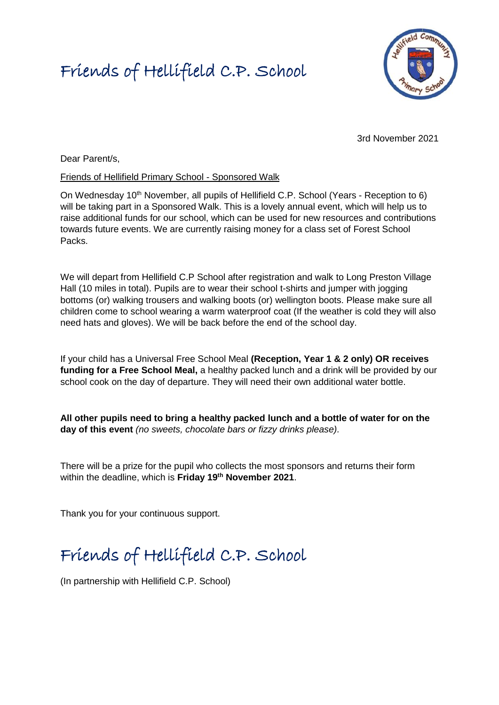### Friends of Hellifield C.P. School



3rd November 2021

Dear Parent/s,

#### Friends of Hellifield Primary School - Sponsored Walk

On Wednesday 10<sup>th</sup> November, all pupils of Hellifield C.P. School (Years - Reception to 6) will be taking part in a Sponsored Walk. This is a lovely annual event, which will help us to raise additional funds for our school, which can be used for new resources and contributions towards future events. We are currently raising money for a class set of Forest School Packs.

We will depart from Hellifield C.P School after registration and walk to Long Preston Village Hall (10 miles in total). Pupils are to wear their school t-shirts and jumper with jogging bottoms (or) walking trousers and walking boots (or) wellington boots. Please make sure all children come to school wearing a warm waterproof coat (If the weather is cold they will also need hats and gloves). We will be back before the end of the school day.

If your child has a Universal Free School Meal **(Reception, Year 1 & 2 only) OR receives funding for a Free School Meal,** a healthy packed lunch and a drink will be provided by our school cook on the day of departure. They will need their own additional water bottle.

**All other pupils need to bring a healthy packed lunch and a bottle of water for on the day of this event** *(no sweets, chocolate bars or fizzy drinks please).*

There will be a prize for the pupil who collects the most sponsors and returns their form within the deadline, which is **Friday 19th November 2021**.

Thank you for your continuous support.

## Friends of Hellifield C.P. School

(In partnership with Hellifield C.P. School)